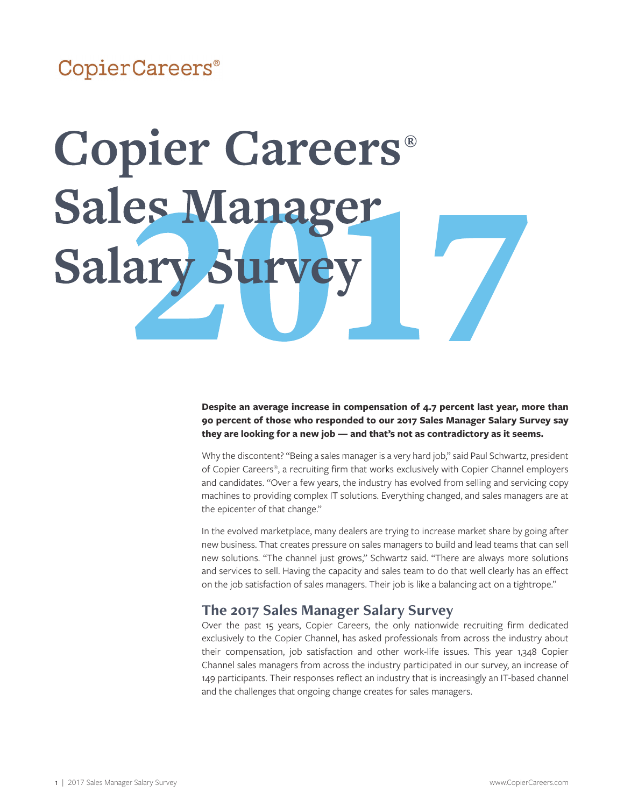## CopierCareers®

# **Copier Careers® Sales Manag** Sur Salary

### **Despite an average increase in compensation of 4.7 percent last year, more than 90 percent of those who responded to our 2017 Sales Manager Salary Survey say they are looking for a new job — and that's not as contradictory as it seems.**

Why the discontent? "Being a sales manager is a very hard job," said Paul Schwartz, president of Copier Careers®, a recruiting firm that works exclusively with Copier Channel employers and candidates. "Over a few years, the industry has evolved from selling and servicing copy machines to providing complex IT solutions. Everything changed, and sales managers are at the epicenter of that change."

In the evolved marketplace, many dealers are trying to increase market share by going after new business. That creates pressure on sales managers to build and lead teams that can sell new solutions. "The channel just grows," Schwartz said. "There are always more solutions and services to sell. Having the capacity and sales team to do that well clearly has an effect on the job satisfaction of sales managers. Their job is like a balancing act on a tightrope."

### **The 2017 Sales Manager Salary Survey**

Over the past 15 years, Copier Careers, the only nationwide recruiting firm dedicated exclusively to the Copier Channel, has asked professionals from across the industry about their compensation, job satisfaction and other work-life issues. This year 1,348 Copier Channel sales managers from across the industry participated in our survey, an increase of 149 participants. Their responses reflect an industry that is increasingly an IT-based channel and the challenges that ongoing change creates for sales managers.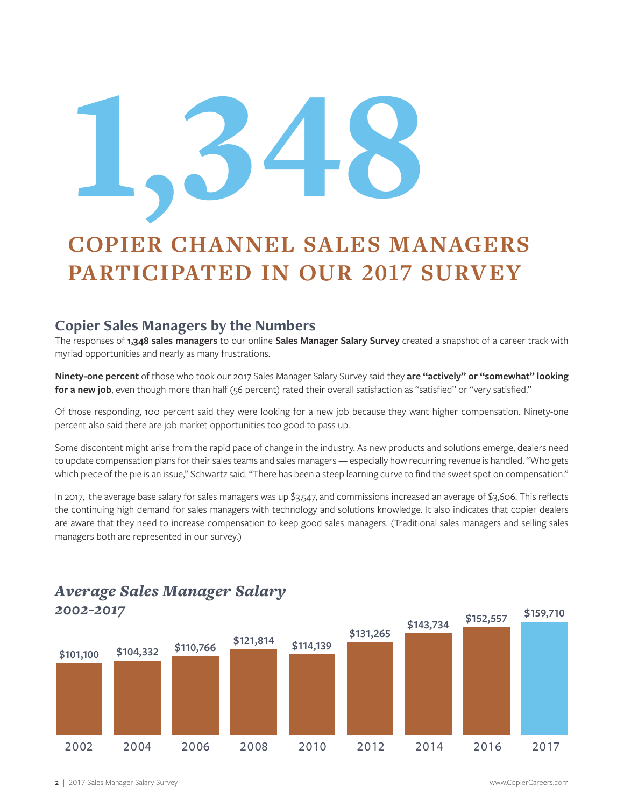# 1'348

# **COPIER CHANNEL SALES MANAGERS PARTICIPATED IN OUR 2017 SURVEY**

### **Copier Sales Managers by the Numbers**

The responses of **1,348 sales managers** to our online **Sales Manager Salary Survey** created a snapshot of a career track with myriad opportunities and nearly as many frustrations.

**Ninety-one percent** of those who took our 2017 Sales Manager Salary Survey said they **are "actively" or "somewhat" looking**  for a new job, even though more than half (56 percent) rated their overall satisfaction as "satisfied" or "very satisfied."

Of those responding, 100 percent said they were looking for a new job because they want higher compensation. Ninety-one percent also said there are job market opportunities too good to pass up.

Some discontent might arise from the rapid pace of change in the industry. As new products and solutions emerge, dealers need to update compensation plans for their sales teams and sales managers — especially how recurring revenue is handled. "Who gets which piece of the pie is an issue," Schwartz said. "There has been a steep learning curve to find the sweet spot on compensation."

In 2017, the average base salary for sales managers was up \$3,547, and commissions increased an average of \$3,606. This reflects the continuing high demand for sales managers with technology and solutions knowledge. It also indicates that copier dealers are aware that they need to increase compensation to keep good sales managers. (Traditional sales managers and selling sales managers both are represented in our survey.)



# *Average Sales Manager Salary*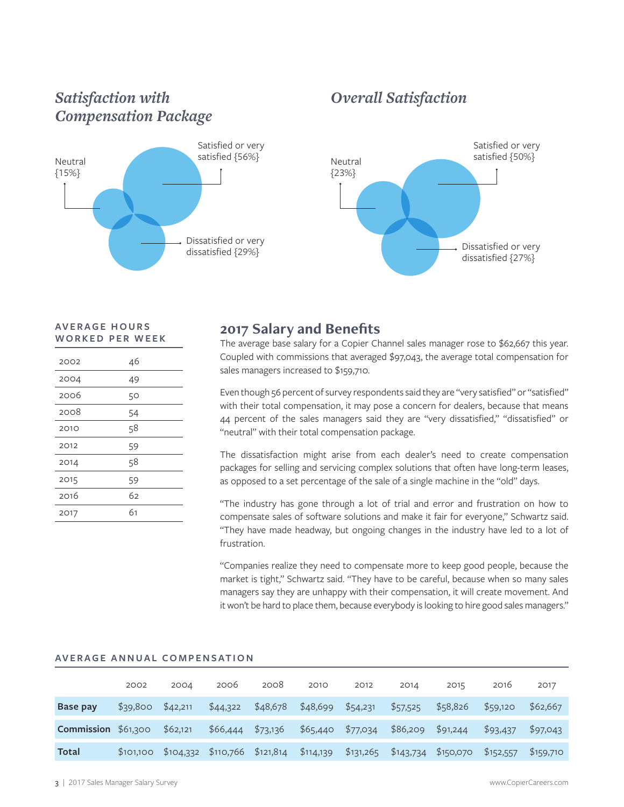### *Satisfaction with Compensation Package*



### *Overall Satisfaction*



### **AV E R A G E H O U R S WORKED PER WEEK**

| 2002 | 46 |
|------|----|
| 2004 | 49 |
| 2006 | 50 |
| 2008 | 54 |
| 2010 | 58 |
| 2012 | 59 |
| 2014 | 58 |
| 2015 | 59 |
| 2016 | 62 |
| 2017 | 61 |

### **2017 Salary and Benefits**

The average base salary for a Copier Channel sales manager rose to \$62,667 this year. Coupled with commissions that averaged \$97,043, the average total compensation for sales managers increased to \$159,710.

Even though 56 percent of survey respondents said they are "very satisfied" or "satisfied" with their total compensation, it may pose a concern for dealers, because that means 44 percent of the sales managers said they are "very dissatisfied," "dissatisfied" or "neutral" with their total compensation package.

The dissatisfaction might arise from each dealer's need to create compensation packages for selling and servicing complex solutions that often have long-term leases, as opposed to a set percentage of the sale of a single machine in the "old" days.

"The industry has gone through a lot of trial and error and frustration on how to compensate sales of software solutions and make it fair for everyone," Schwartz said. "They have made headway, but ongoing changes in the industry have led to a lot of frustration.

"Companies realize they need to compensate more to keep good people, because the market is tight," Schwartz said. "They have to be careful, because when so many sales managers say they are unhappy with their compensation, it will create movement. And it won't be hard to place them, because everybody is looking to hire good sales managers."

### **AVERAGE ANNUAL COMPENSATION**

|                     | 2002     | 2004                  | 2006                  | 2008     | 2010      | 2012      | 2014      | 2015      | 2016      | 2017      |
|---------------------|----------|-----------------------|-----------------------|----------|-----------|-----------|-----------|-----------|-----------|-----------|
| Base pay            | \$39,800 | \$42,211              | \$44,322              | \$48,678 | \$48,699  | \$54,231  | \$57,525  | \$58,826  | \$59,120  | \$62,667  |
| Commission \$61,300 |          | \$62,121              | \$66,444              | \$73,136 | \$65,440  | \$77,034  | \$86,209  | \$91,244  | \$93,437  | \$97,043  |
| <b>Total</b>        |          | $$101,100$ $$104,332$ | $$110,766$ $$121,814$ |          | \$114,139 | \$131,265 | \$143,734 | \$150,070 | \$152,557 | \$159,710 |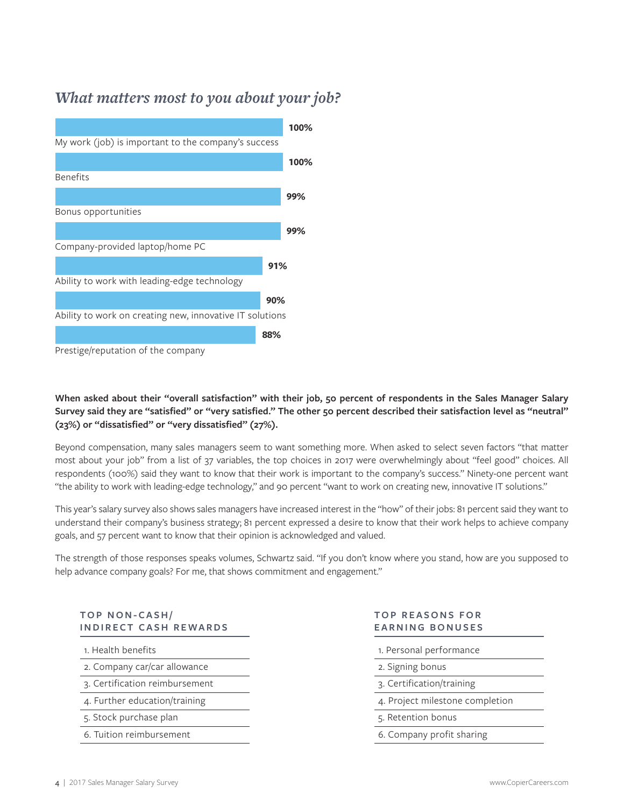### *What matters most to you about your job?*



### **When asked about their "overall satisfaction" with their job, 50 percent of respondents in the Sales Manager Salary Survey said they are "satisfied" or "very satisfied." The other 50 percent described their satisfaction level as "neutral" (23%) or "dissatisfied" or "very dissatisfied" (27%).**

Beyond compensation, many sales managers seem to want something more. When asked to select seven factors "that matter most about your job" from a list of 37 variables, the top choices in 2017 were overwhelmingly about "feel good" choices. All respondents (100%) said they want to know that their work is important to the company's success." Ninety-one percent want "the ability to work with leading-edge technology," and 90 percent "want to work on creating new, innovative IT solutions."

This year's salary survey also shows sales managers have increased interest in the "how" of their jobs: 81 percent said they want to understand their company's business strategy; 81 percent expressed a desire to know that their work helps to achieve company goals, and 57 percent want to know that their opinion is acknowledged and valued.

The strength of those responses speaks volumes, Schwartz said. "If you don't know where you stand, how are you supposed to help advance company goals? For me, that shows commitment and engagement."

### **TOP NON-CASH/ INDIRECT CASH REWARDS**

1. Health benefits

- 2. Company car/car allowance
- 3. Certification reimbursement
- 4. Further education/training
- 5. Stock purchase plan
- 6. Tuition reimbursement

### **TOP REASONS FOR EARNING BONUSES**

- 1. Personal performance
- 2. Signing bonus
- 3. Certification/training
- 4. Project milestone completion
- 5. Retention bonus
- 6. Company profit sharing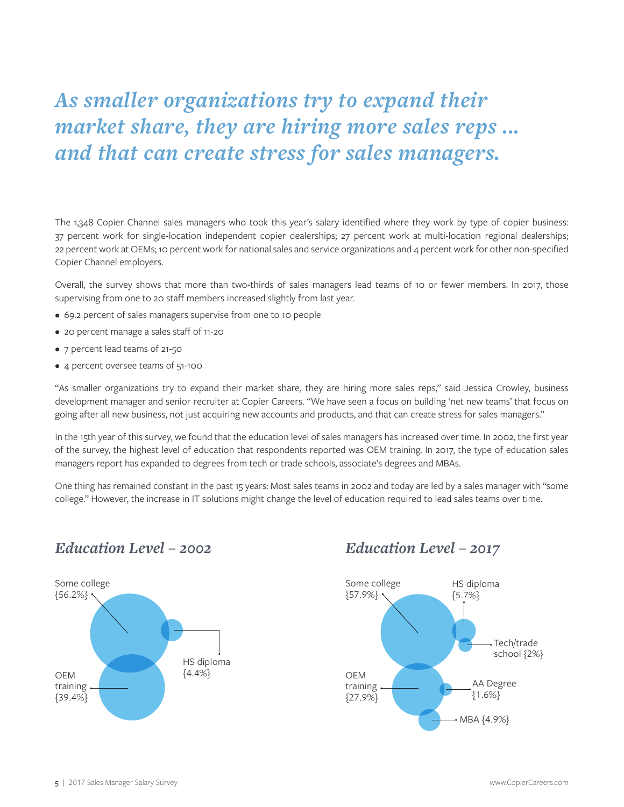# *As smaller organizations try to expand their market share, they are hiring more sales reps ... and that can create stress for sales managers.*

The 1,348 Copier Channel sales managers who took this year's salary identified where they work by type of copier business: 37 percent work for single-location independent copier dealerships; 27 percent work at multi-location regional dealerships; 22 percent work at OEMs; 10 percent work for national sales and service organizations and 4 percent work for other non-specified Copier Channel employers.

Overall, the survey shows that more than two-thirds of sales managers lead teams of 10 or fewer members. In 2017, those supervising from one to 20 staff members increased slightly from last year.

- 69.2 percent of sales managers supervise from one to 10 people
- 20 percent manage a sales staff of 11-20
- 7 percent lead teams of 21-50
- 4 percent oversee teams of 51-100

"As smaller organizations try to expand their market share, they are hiring more sales reps," said Jessica Crowley, business development manager and senior recruiter at Copier Careers. "We have seen a focus on building 'net new teams' that focus on going after all new business, not just acquiring new accounts and products, and that can create stress for sales managers."

In the 15th year of this survey, we found that the education level of sales managers has increased over time. In 2002, the first year of the survey, the highest level of education that respondents reported was OEM training. In 2017, the type of education sales managers report has expanded to degrees from tech or trade schools, associate's degrees and MBAs.

One thing has remained constant in the past 15 years: Most sales teams in 2002 and today are led by a sales manager with "some college." However, the increase in IT solutions might change the level of education required to lead sales teams over time.

### *Education Level – 2002 Education Level – 2017*



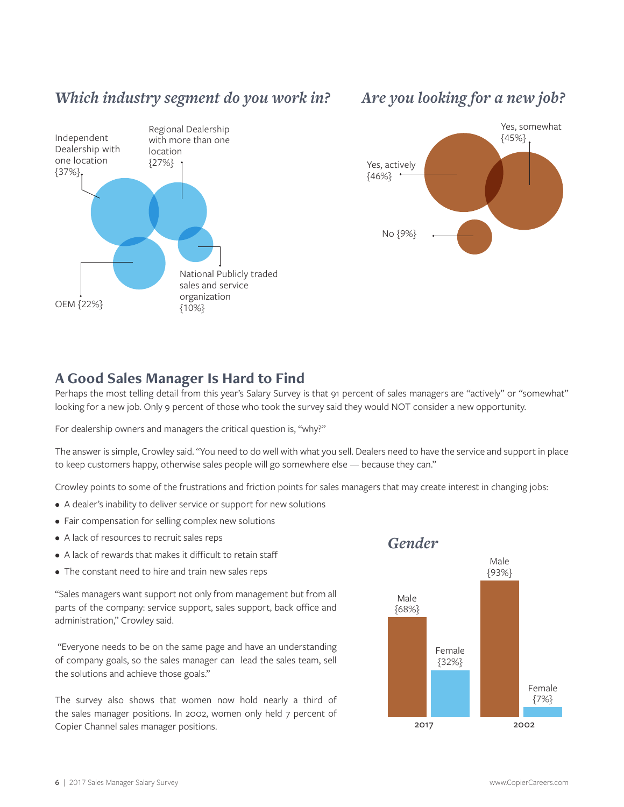### *Which industry segment do you work in?*



### *Are you looking for a new job?*



### **A Good Sales Manager Is Hard to Find**

Perhaps the most telling detail from this year's Salary Survey is that 91 percent of sales managers are "actively" or "somewhat" looking for a new job. Only 9 percent of those who took the survey said they would NOT consider a new opportunity.

For dealership owners and managers the critical question is, "why?"

The answer is simple, Crowley said. "You need to do well with what you sell. Dealers need to have the service and support in place to keep customers happy, otherwise sales people will go somewhere else — because they can."

Crowley points to some of the frustrations and friction points for sales managers that may create interest in changing jobs:

- A dealer's inability to deliver service or support for new solutions
- Fair compensation for selling complex new solutions
- A lack of resources to recruit sales reps
- A lack of rewards that makes it difficult to retain staff
- The constant need to hire and train new sales reps

"Sales managers want support not only from management but from all parts of the company: service support, sales support, back office and administration," Crowley said.

 "Everyone needs to be on the same page and have an understanding of company goals, so the sales manager can lead the sales team, sell the solutions and achieve those goals."

The survey also shows that women now hold nearly a third of the sales manager positions. In 2002, women only held 7 percent of Copier Channel sales manager positions.

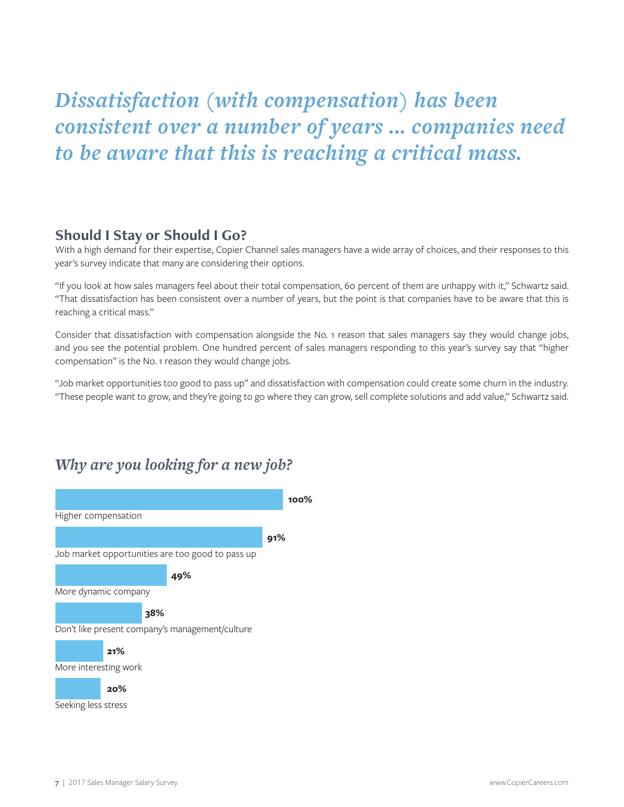# *Dissatisfaction (with compensation) has been consistent over a number of years ... companies need to be aware that this is reaching a critical mass.*

### **Should I Stay or Should I Go?**

With a high demand for their expertise, Copier Channel sales managers have a wide array of choices, and their responses to this year's survey indicate that many are considering their options.

"If you look at how sales managers feel about their total compensation, 60 percent of them are unhappy with it," Schwartz said. "That dissatisfaction has been consistent over a number of years, but the point is that companies have to be aware that this is reaching a critical mass."

Consider that dissatisfaction with compensation alongside the No. 1 reason that sales managers say they would change jobs, and you see the potential problem. One hundred percent of sales managers responding to this year's survey say that "higher compensation" is the No. 1 reason they would change jobs.

"Job market opportunities too good to pass up" and dissatisfaction with compensation could create some churn in the industry. "These people want to grow, and they're going to go where they can grow, sell complete solutions and add value," Schwartz said.

### *Why are you looking for a new job?*